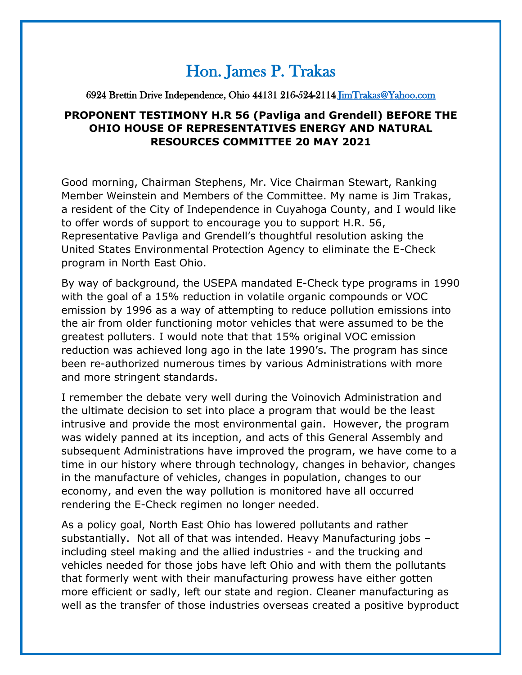## Hon. James P. Trakas

## 6924 Brettin Drive Independence, Ohio 44131 216-524-2114 [JimTrakas@Yahoo.com](mailto:JimTrakas@Yahoo.com)

## **PROPONENT TESTIMONY H.R 56 (Pavliga and Grendell) BEFORE THE OHIO HOUSE OF REPRESENTATIVES ENERGY AND NATURAL RESOURCES COMMITTEE 20 MAY 2021**

Good morning, Chairman Stephens, Mr. Vice Chairman Stewart, Ranking Member Weinstein and Members of the Committee. My name is Jim Trakas, a resident of the City of Independence in Cuyahoga County, and I would like to offer words of support to encourage you to support H.R. 56, Representative Pavliga and Grendell's thoughtful resolution asking the United States Environmental Protection Agency to eliminate the E-Check program in North East Ohio.

By way of background, the USEPA mandated E-Check type programs in 1990 with the goal of a 15% reduction in volatile organic compounds or VOC emission by 1996 as a way of attempting to reduce pollution emissions into the air from older functioning motor vehicles that were assumed to be the greatest polluters. I would note that that 15% original VOC emission reduction was achieved long ago in the late 1990's. The program has since been re-authorized numerous times by various Administrations with more and more stringent standards.

I remember the debate very well during the Voinovich Administration and the ultimate decision to set into place a program that would be the least intrusive and provide the most environmental gain. However, the program was widely panned at its inception, and acts of this General Assembly and subsequent Administrations have improved the program, we have come to a time in our history where through technology, changes in behavior, changes in the manufacture of vehicles, changes in population, changes to our economy, and even the way pollution is monitored have all occurred rendering the E-Check regimen no longer needed.

As a policy goal, North East Ohio has lowered pollutants and rather substantially. Not all of that was intended. Heavy Manufacturing jobs – including steel making and the allied industries - and the trucking and vehicles needed for those jobs have left Ohio and with them the pollutants that formerly went with their manufacturing prowess have either gotten more efficient or sadly, left our state and region. Cleaner manufacturing as well as the transfer of those industries overseas created a positive byproduct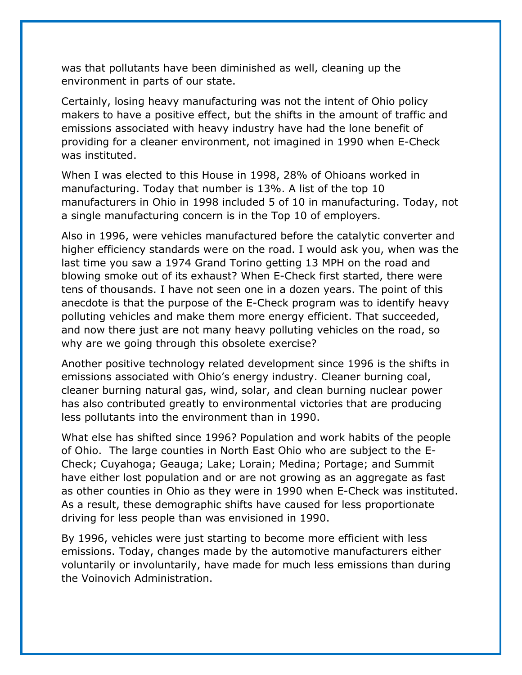was that pollutants have been diminished as well, cleaning up the environment in parts of our state.

Certainly, losing heavy manufacturing was not the intent of Ohio policy makers to have a positive effect, but the shifts in the amount of traffic and emissions associated with heavy industry have had the lone benefit of providing for a cleaner environment, not imagined in 1990 when E-Check was instituted.

When I was elected to this House in 1998, 28% of Ohioans worked in manufacturing. Today that number is 13%. A list of the top 10 manufacturers in Ohio in 1998 included 5 of 10 in manufacturing. Today, not a single manufacturing concern is in the Top 10 of employers.

Also in 1996, were vehicles manufactured before the catalytic converter and higher efficiency standards were on the road. I would ask you, when was the last time you saw a 1974 Grand Torino getting 13 MPH on the road and blowing smoke out of its exhaust? When E-Check first started, there were tens of thousands. I have not seen one in a dozen years. The point of this anecdote is that the purpose of the E-Check program was to identify heavy polluting vehicles and make them more energy efficient. That succeeded, and now there just are not many heavy polluting vehicles on the road, so why are we going through this obsolete exercise?

Another positive technology related development since 1996 is the shifts in emissions associated with Ohio's energy industry. Cleaner burning coal, cleaner burning natural gas, wind, solar, and clean burning nuclear power has also contributed greatly to environmental victories that are producing less pollutants into the environment than in 1990.

What else has shifted since 1996? Population and work habits of the people of Ohio. The large counties in North East Ohio who are subject to the E-Check; Cuyahoga; Geauga; Lake; Lorain; Medina; Portage; and Summit have either lost population and or are not growing as an aggregate as fast as other counties in Ohio as they were in 1990 when E-Check was instituted. As a result, these demographic shifts have caused for less proportionate driving for less people than was envisioned in 1990.

By 1996, vehicles were just starting to become more efficient with less emissions. Today, changes made by the automotive manufacturers either voluntarily or involuntarily, have made for much less emissions than during the Voinovich Administration.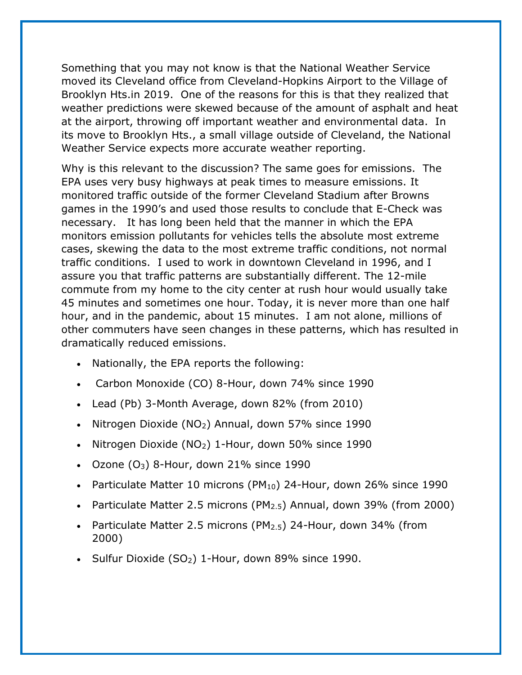Something that you may not know is that the National Weather Service moved its Cleveland office from Cleveland-Hopkins Airport to the Village of Brooklyn Hts.in 2019. One of the reasons for this is that they realized that weather predictions were skewed because of the amount of asphalt and heat at the airport, throwing off important weather and environmental data. In its move to Brooklyn Hts., a small village outside of Cleveland, the National Weather Service expects more accurate weather reporting.

Why is this relevant to the discussion? The same goes for emissions. The EPA uses very busy highways at peak times to measure emissions. It monitored traffic outside of the former Cleveland Stadium after Browns games in the 1990's and used those results to conclude that E-Check was necessary. It has long been held that the manner in which the EPA monitors emission pollutants for vehicles tells the absolute most extreme cases, skewing the data to the most extreme traffic conditions, not normal traffic conditions. I used to work in downtown Cleveland in 1996, and I assure you that traffic patterns are substantially different. The 12-mile commute from my home to the city center at rush hour would usually take 45 minutes and sometimes one hour. Today, it is never more than one half hour, and in the pandemic, about 15 minutes. I am not alone, millions of other commuters have seen changes in these patterns, which has resulted in dramatically reduced emissions.

- Nationally, the EPA reports the following:
- Carbon Monoxide (CO) 8-Hour, down 74% since 1990
- Lead (Pb) 3-Month Average, down 82% (from 2010)
- Nitrogen Dioxide (NO<sub>2</sub>) Annual, down 57% since 1990
- Nitrogen Dioxide ( $NO<sub>2</sub>$ ) 1-Hour, down 50% since 1990
- $\bullet$  Ozone (O<sub>3</sub>) 8-Hour, down 21% since 1990
- Particulate Matter 10 microns (PM $_{10}$ ) 24-Hour, down 26% since 1990
- Particulate Matter 2.5 microns (PM $_{2.5}$ ) Annual, down 39% (from 2000)
- Particulate Matter 2.5 microns (PM2.5) 24-Hour, down 34% (from 2000)
- Sulfur Dioxide  $(SO_2)$  1-Hour, down 89% since 1990.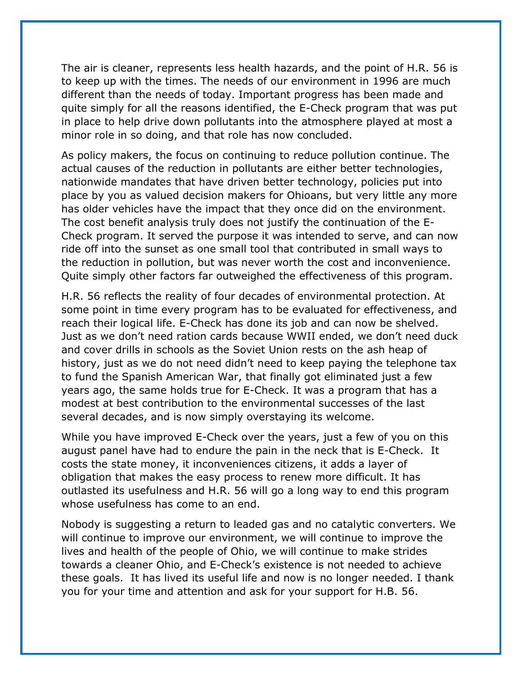The air is cleaner, represents less health hazards, and the point of H.R. 56 is to keep up with the times. The needs of our environment in 1996 are much different than the needs of today. Important progress has been made and quite simply for all the reasons identified, the E-Check program that was put in place to help drive down pollutants into the atmosphere played at most a minor role in so doing, and that role has now concluded.

As policy makers, the focus on continuing to reduce pollution continue. The actual causes of the reduction in pollutants are either better technologies, nationwide mandates that have driven better technology, policies put into place by you as valued decision makers for Ohioans, but very little any more has older vehicles have the impact that they once did on the environment. The cost benefit analysis truly does not justify the continuation of the E-Check program. It served the purpose it was intended to serve, and can now ride off into the sunset as one small tool that contributed in small ways to the reduction in pollution, but was never worth the cost and inconvenience. Quite simply other factors far outweighed the effectiveness of this program.

H.R. 56 reflects the reality of four decades of environmental protection. At some point in time every program has to be evaluated for effectiveness, and reach their logical life. E-Check has done its job and can now be shelved. Just as we don't need ration cards because WWII ended, we don't need duck and cover drills in schools as the Soviet Union rests on the ash heap of history, just as we do not need didn't need to keep paying the telephone tax to fund the Spanish American War, that finally got eliminated just a few years ago, the same holds true for E-Check. It was a program that has a modest at best contribution to the environmental successes of the last several decades, and is now simply overstaying its welcome.

While you have improved E-Check over the years, just a few of you on this august panel have had to endure the pain in the neck that is E-Check. It costs the state money, it inconveniences citizens, it adds a layer of obligation that makes the easy process to renew more difficult. It has outlasted its usefulness and H.R. 56 will go a long way to end this program whose usefulness has come to an end.

Nobody is suggesting a return to leaded gas and no catalytic converters. We will continue to improve our environment, we will continue to improve the lives and health of the people of Ohio, we will continue to make strides towards a cleaner Ohio, and E-Check's existence is not needed to achieve these goals. It has lived its useful life and now is no longer needed. I thank you for your time and attention and ask for your support for H.B. 56.